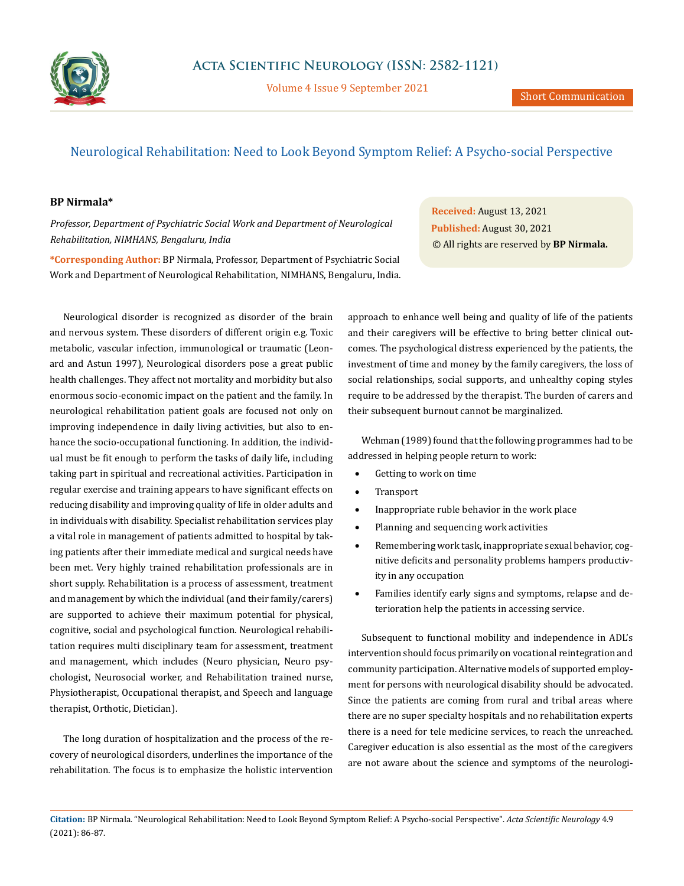

Volume 4 Issue 9 September 2021

## Neurological Rehabilitation: Need to Look Beyond Symptom Relief: A Psycho-social Perspective

## **BP Nirmala\***

*Professor, Department of Psychiatric Social Work and Department of Neurological Rehabilitation, NIMHANS, Bengaluru, India*

**\*Corresponding Author:** BP Nirmala, Professor, Department of Psychiatric Social Work and Department of Neurological Rehabilitation, NIMHANS, Bengaluru, India.

Neurological disorder is recognized as disorder of the brain and nervous system. These disorders of different origin e.g. Toxic metabolic, vascular infection, immunological or traumatic (Leonard and Astun 1997), Neurological disorders pose a great public health challenges. They affect not mortality and morbidity but also enormous socio-economic impact on the patient and the family. In neurological rehabilitation patient goals are focused not only on improving independence in daily living activities, but also to enhance the socio-occupational functioning. In addition, the individual must be fit enough to perform the tasks of daily life, including taking part in spiritual and recreational activities. Participation in regular exercise and training appears to have significant effects on reducing disability and improving quality of life in older adults and in individuals with disability. Specialist rehabilitation services play a vital role in management of patients admitted to hospital by taking patients after their immediate medical and surgical needs have been met. Very highly trained rehabilitation professionals are in short supply. Rehabilitation is a process of assessment, treatment and management by which the individual (and their family/carers) are supported to achieve their maximum potential for physical, cognitive, social and psychological function. Neurological rehabilitation requires multi disciplinary team for assessment, treatment and management, which includes (Neuro physician, Neuro psychologist, Neurosocial worker, and Rehabilitation trained nurse, Physiotherapist, Occupational therapist, and Speech and language therapist, Orthotic, Dietician).

The long duration of hospitalization and the process of the recovery of neurological disorders, underlines the importance of the rehabilitation. The focus is to emphasize the holistic intervention

**Received:** August 13, 2021 **Published:** August 30, 2021 © All rights are reserved by **BP Nirmala.**

approach to enhance well being and quality of life of the patients and their caregivers will be effective to bring better clinical outcomes. The psychological distress experienced by the patients, the investment of time and money by the family caregivers, the loss of social relationships, social supports, and unhealthy coping styles require to be addressed by the therapist. The burden of carers and their subsequent burnout cannot be marginalized.

Wehman (1989) found that the following programmes had to be addressed in helping people return to work:

- • Getting to work on time
- • Transport
- Inappropriate ruble behavior in the work place
- • Planning and sequencing work activities
- Remembering work task, inappropriate sexual behavior, cognitive deficits and personality problems hampers productivity in any occupation
- Families identify early signs and symptoms, relapse and deterioration help the patients in accessing service.

Subsequent to functional mobility and independence in ADL's intervention should focus primarily on vocational reintegration and community participation. Alternative models of supported employment for persons with neurological disability should be advocated. Since the patients are coming from rural and tribal areas where there are no super specialty hospitals and no rehabilitation experts there is a need for tele medicine services, to reach the unreached. Caregiver education is also essential as the most of the caregivers are not aware about the science and symptoms of the neurologi-

**Citation:** BP Nirmala*.* "Neurological Rehabilitation: Need to Look Beyond Symptom Relief: A Psycho-social Perspective". *Acta Scientific Neurology* 4.9 (2021): 86-87.